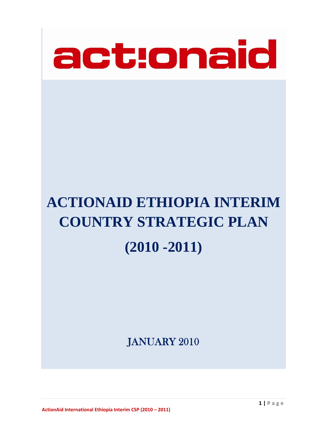

# **ACTIONAID ETHIOPIA INTERIM COUNTRY STRATEGIC PLAN (2010 -2011)**

JANUARY 2010

**ActionAid International Ethiopia Interim CSP (2010 – 2011)**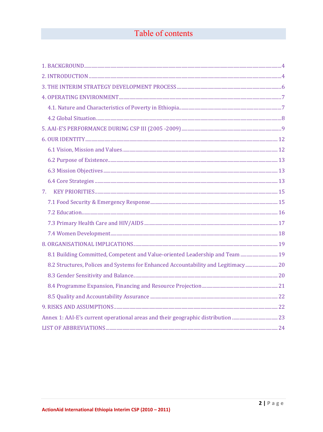# Table of contents

| 7.                                                                                |  |
|-----------------------------------------------------------------------------------|--|
|                                                                                   |  |
|                                                                                   |  |
|                                                                                   |  |
|                                                                                   |  |
|                                                                                   |  |
| 8.1 Building Committed, Competent and Value-oriented Leadership and Team  19      |  |
| 8.2 Structures, Polices and Systems for Enhanced Accountability and Legitimacy 20 |  |
|                                                                                   |  |
|                                                                                   |  |
|                                                                                   |  |
|                                                                                   |  |
|                                                                                   |  |
|                                                                                   |  |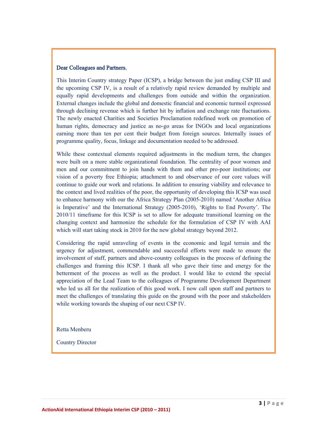#### Dear Colleagues and Partners,

This Interim Country strategy Paper (ICSP), a bridge between the just ending CSP III and the upcoming CSP IV, is a result of a relatively rapid review demanded by multiple and equally rapid developments and challenges from outside and within the organization. External changes include the global and domestic financial and economic turmoil expressed through declining revenue which is further hit by inflation and exchange rate fluctuations. The newly enacted Charities and Societies Proclamation redefined work on promotion of human rights, democracy and justice as no-go areas for INGOs and local organizations earning more than ten per cent their budget from foreign sources. Internally issues of programme quality, focus, linkage and documentation needed to be addressed.

While these contextual elements required adjustments in the medium term, the changes were built on a more stable organizational foundation. The centrality of poor women and men and our commitment to join hands with them and other pro-poor institutions; our vision of a poverty free Ethiopia; attachment to and observance of our core values will continue to guide our work and relations. In addition to ensuring viability and relevance to the context and lived realities of the poor, the opportunity of developing this ICSP was used to enhance harmony with our the Africa Strategy Plan (2005-2010) named 'Another Africa is Imperative' and the International Strategy (2005-2010), 'Rights to End Poverty'. The 2010/11 timeframe for this ICSP is set to allow for adequate transitional learning on the changing context and harmonize the schedule for the formulation of CSP IV with AAI which will start taking stock in 2010 for the new global strategy beyond 2012.

Considering the rapid unraveling of events in the economic and legal terrain and the urgency for adjustment, commendable and successful efforts were made to ensure the involvement of staff, partners and above-country colleagues in the process of defining the challenges and framing this ICSP. I thank all who gave their time and energy for the betterment of the process as well as the product. I would like to extend the special appreciation of the Lead Team to the colleagues of Programme Development Department who led us all for the realization of this good work. I now call upon staff and partners to meet the challenges of translating this guide on the ground with the poor and stakeholders while working towards the shaping of our next CSP IV.

Retta Menberu

Country Director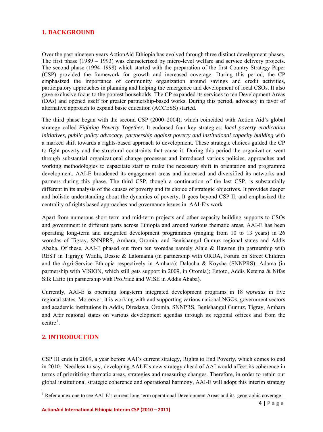## <span id="page-3-0"></span>**1. BACKGROUND**

Over the past nineteen years ActionAid Ethiopia has evolved through three distinct development phases. The first phase (1989 – 1993) was characterized by micro-level welfare and service delivery projects. The second phase (1994–1998) which started with the preparation of the first Country Strategy Paper (CSP) provided the framework for growth and increased coverage. During this period, the CP emphasized the importance of community organization around savings and credit activities, participatory approaches in planning and helping the emergence and development of local CSOs. It also gave exclusive focus to the poorest households. The CP expanded its services to ten Development Areas (DAs) and opened itself for greater partnership-based works. During this period, advocacy in favor of alternative approach to expand basic education (ACCESS) started.

The third phase began with the second CSP (2000–2004), which coincided with Action Aid's global strategy called *Fighting Poverty Together*. It endorsed four key strategies: *local poverty eradication initiatives, public policy advocacy, partnership against poverty and institutional capacity building w*ith a marked shift towards a rights-based approach to development. These strategic choices guided the CP to fight poverty and the structural constraints that cause it. During this period the organization went through substantial organizational change processes and introduced various policies, approaches and working methodologies to capacitate staff to make the necessary shift in orientation and programme development. AAI-E broadened its engagement areas and increased and diversified its networks and partners during this phase. The third CSP, though a continuation of the last CSP, is substantially different in its analysis of the causes of poverty and its choice of strategic objectives. It provides deeper and holistic understanding about the dynamics of poverty. It goes beyond CSP II, and emphasized the centrality of rights based approaches and governance issues in AAI-E's work

Apart from numerous short term and mid-term projects and other capacity building supports to CSOs and government in different parts across Ethiopia and around various thematic areas, AAI-E has been operating long-term and integrated development programmes (ranging from 10 to 13 years) in 26 woredas of Tigray, SNNPRS, Amhara, Oromia, and Benishangul Gumuz regional states and Addis Ababa. Of these, AAI-E phased out from ten woredas namely Alaje & Hawzen (in partnership with REST in Tigray); Wadla, Dessie & Lalomama (in partnership with ORDA, Forum on Street Children and the Agri-Service Ethiopia respectively in Amhara); Dalocha & Koysha (SNNPRS); Adama (in partnership with VISION, which still gets support in 2009, in Oromia); Entoto, Addis Ketema & Nifas Silk Lafto (in partnership with ProPride and WISE in Addis Ababa).

Currently, AAI-E is operating long-term integrated development programs in 18 *woredas* in five regional states. Moreover, it is working with and supporting various national NGOs, government sectors and academic institutions in Addis, Diredawa, Oromia, SNNPRS, Benishangul Gumuz, Tigray, Amhara and Afar regional states on various development agendas through its regional offices and from the  $centre<sup>1</sup>$  $centre<sup>1</sup>$  $centre<sup>1</sup>$ .

## **2. INTRODUCTION**

CSP III ends in 2009, a year before AAI's current strategy, Rights to End Poverty, which comes to end in 2010. Needless to say, developing AAI-E's new strategy ahead of AAI would affect its coherence in terms of prioritizing thematic areas, strategies and measuring changes. Therefore, in order to retain our global institutional strategic coherence and operational harmony, AAI-E will adopt this interim strategy

<span id="page-3-1"></span><sup>&</sup>lt;sup>1</sup> Refer annex one to see AAI-E's current long-term operational Development Areas and its geographic coverage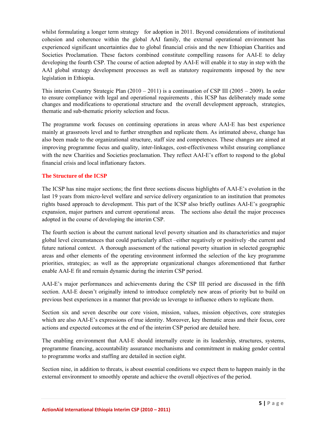whilst formulating a longer term strategy for adoption in 2011. Beyond considerations of institutional cohesion and coherence within the global AAI family, the external operational environment has experienced significant uncertainties due to global financial crisis and the new Ethiopian Charities and Societies Proclamation. These factors combined constitute compelling reasons for AAI-E to delay developing the fourth CSP. The course of action adopted by AAI-E will enable it to stay in step with the AAI global strategy development processes as well as statutory requirements imposed by the new legislation in Ethiopia.

This interim Country Strategic Plan  $(2010 - 2011)$  is a continuation of CSP III  $(2005 - 2009)$ . In order to ensure compliance with legal and operational requirements , this ICSP has deliberately made some changes and modifications to operational structure and the overall development approach, strategies, thematic and sub-thematic priority selection and focus.

The programme work focuses on continuing operations in areas where AAI-E has best experience mainly at grassroots level and to further strengthen and replicate them. As intimated above, change has also been made to the organizational structure, staff size and competences. These changes are aimed at improving programme focus and quality, inter-linkages, cost-effectiveness whilst ensuring compliance with the new Charities and Societies proclamation. They reflect AAI-E's effort to respond to the global financial crisis and local inflationary factors.

## **The Structure of the ICSP**

The ICSP has nine major sections; the first three sections discuss highlights of AAI-E's evolution in the last 19 years from micro-level welfare and service delivery organization to an institution that promotes rights based approach to development. This part of the ICSP also briefly outlines AAI-E's geographic expansion, major partners and current operational areas. The sections also detail the major processes adopted in the course of developing the interim CSP.

The fourth section is about the current national level poverty situation and its characteristics and major global level circumstances that could particularly affect –either negatively or positively -the current and future national context. A thorough assessment of the national poverty situation in selected geographic areas and other elements of the operating environment informed the selection of the key programme priorities, strategies; as well as the appropriate organizational changes aforementioned that further enable AAI-E fit and remain dynamic during the interim CSP period.

AAI-E's major performances and achievements during the CSP III period are discussed in the fifth section. AAI-E doesn't originally intend to introduce completely new areas of priority but to build on previous best experiences in a manner that provide us leverage to influence others to replicate them.

Section six and seven describe our core vision, mission, values, mission objectives, core strategies which are also AAI-E's expressions of true identity. Moreover, key thematic areas and their focus, core actions and expected outcomes at the end of the interim CSP period are detailed here.

The enabling environment that AAI-E should internally create in its leadership, structures, systems, programme financing, accountability assurance mechanisms and commitment in making gender central to programme works and staffing are detailed in section eight.

Section nine, in addition to threats, is about essential conditions we expect them to happen mainly in the external environment to smoothly operate and achieve the overall objectives of the period.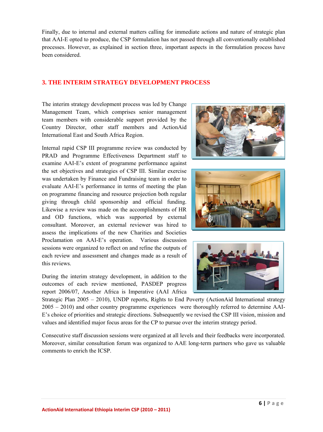<span id="page-5-0"></span>Finally, due to internal and external matters calling for immediate actions and nature of strategic plan that AAI-E opted to produce, the CSP formulation has not passed through all conventionally established processes. However, as explained in section three, important aspects in the formulation process have been considered.

## **3. THE INTERIM STRATEGY DEVELOPMENT PROCESS**

The interim strategy development process was led by Change Management Team, which comprises senior management team members with considerable support provided by the Country Director, other staff members and ActionAid International East and South Africa Region.

Internal rapid CSP III programme review was conducted by PRAD and Programme Effectiveness Department staff to examine AAI-E's extent of programme performance against the set objectives and strategies of CSP III. Similar exercise was undertaken by Finance and Fundraising team in order to evaluate AAI-E's performance in terms of meeting the plan on programme financing and resource projection both regular giving through child sponsorship and official funding. Likewise a review was made on the accomplishments of HR and OD functions, which was supported by external consultant. Moreover, an external reviewer was hired to assess the implications of the new Charities and Societies Proclamation on AAI-E's operation. Various discussion sessions were organized to reflect on and refine the outputs of each review and assessment and changes made as a result of this reviews.

During the interim strategy development, in addition to the outcomes of each review mentioned, PASDEP progress report 2006/07, Another Africa is Imperative (AAI Africa







Strategic Plan 2005 – 2010), UNDP reports, Rights to End Poverty (ActionAid International strategy 2005 – 2010) and other country programme experiences were thoroughly referred to determine AAI-E's choice of priorities and strategic directions. Subsequently we revised the CSP III vision, mission and values and identified major focus areas for the CP to pursue over the interim strategy period.

Consecutive staff discussion sessions were organized at all levels and their feedbacks were incorporated. Moreover, similar consultation forum was organized to AAE long-term partners who gave us valuable comments to enrich the ICSP.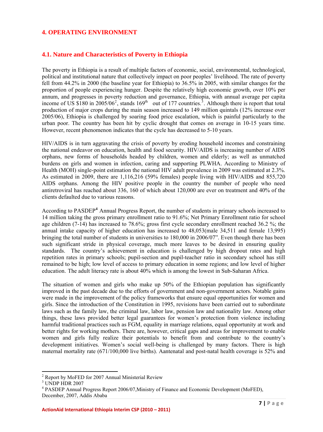## <span id="page-6-0"></span>**4. OPERATING ENVIRONMENT**

## **4.1. Nature and Characteristics of Poverty in Ethiopia**

The poverty in Ethiopia is a result of multiple factors of economic, social, environmental, technological, political and institutional nature that collectively impact on poor peoples' livelihood. The rate of poverty fell from 44.2% in 2000 (the baseline year for Ethiopia) to 36.5% in 2005, with similar changes for the proportion of people experiencing hunger. Despite the relatively high economic growth, over 10% per annum, and progresses in poverty reduction and governance, Ethiopia, with annual average per capita income of US \$180 in  $200\frac{5}{06}$  $200\frac{5}{06}$ , stands 169<sup>th</sup> out of 177 countries.<sup>[3](#page-6-1)</sup>. Although there is report that total production of major crops during the main season increased to 149 million quintals (12% increase over 2005/06), Ethiopia is challenged by soaring food price escalation, which is painful particularly to the urban poor. The country has been hit by cyclic drought that comes on average in 10-15 years time. However, recent phenomenon indicates that the cycle has decreased to 5-10 years.

HIV/AIDS is in turn aggravating the crisis of poverty by eroding household incomes and constraining the national endeavor on education, health and food security. HIV/AIDS is increasing number of AIDS orphans, new forms of households headed by children, women and elderly; as well as unmatched burdens on girls and women in infection, caring and supporting PLWHA. According to Ministry of Health (MOH) single-point estimation the national HIV adult prevalence in 2009 was estimated at 2.3%. As estimated in 2009, there are 1,116,216 (59% females) people living with HIV/AIDS and 855,720 AIDS orphans. Among the HIV positive people in the country the number of people who need antiretroviral has reached about 336, 160 of which about 120,000 are ever on treatment and 40% of the clients defaulted due to various reasons.

According to PASDEP**[4](#page-6-1)** Annual Progress Report, the number of students in primary schools increased to 14 million taking the gross primary enrollment ratio to 91.6%; Net Primary Enrollment ratio for school age children (7-14) has increased to 78.6%; gross first cycle secondary enrollment reached 36.2 %; the annual intake capacity of higher education has increased to 48,053(male 34,511 and female 13,995) bringing the total number of students in universities to 180,000 in 2006/07". Even though there has been such significant stride in physical coverage, much more leaves to be desired in ensuring quality standards. The country's achievement in education is challenged by high dropout rates and high repetition rates in primary schools; pupil-section and pupil-teacher ratio in secondary school has still remained to be high; low level of access to primary education in some regions; and low level of higher education. The adult literacy rate is about 40% which is among the lowest in Sub-Saharan Africa.

The situation of women and girls who make up 50% of the Ethiopian population has significantly improved in the past decade due to the efforts of government and non-government actors. Notable gains were made in the improvement of the policy frameworks that ensure equal opportunities for women and girls. Since the introduction of the Constitution in 1995, revisions have been carried out to subordinate laws such as the family law, the criminal law, labor law, pension law and nationality law. Among other things, these laws provided better legal guarantees for women's protection from violence including harmful traditional practices such as FGM, equality in marriage relations, equal opportunity at work and better rights for working mothers. There are, however, critical gaps and areas for improvement to enable women and girls fully realize their potentials to benefit from and contribute to the country's development initiatives. Women's social well-being is challenged by many factors. There is high maternal mortality rate (671/100,000 live births). Aantenatal and post-natal health coverage is 52% and

<span id="page-6-1"></span><sup>&</sup>lt;sup>2</sup> Report by MoFED for 2007 Annual Ministerial Review

<sup>3</sup> UNDP HDR 2007

<sup>&</sup>lt;sup>4</sup> PASDEP Annual Progress Report 2006/07, Ministry of Finance and Economic Development (MoFED), December, 2007, Addis Ababa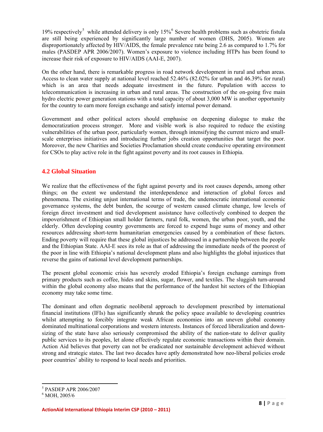<span id="page-7-0"></span>19% respectively<sup>[5](#page-7-1)</sup> while attended delivery is only  $15\%$ <sup>[6](#page-7-2)</sup> Severe health problems such as obstetric fistula are still being experienced by significantly large number of women (DHS, 2005). Women are disproportionately affected by HIV/AIDS, the female prevalence rate being 2.6 as compared to 1.7% for males (PASDEP APR 2006/2007). Women's exposure to violence including HTPs has been found to increase their risk of exposure to HIV/AIDS (AAI-E, 2007).

On the other hand, there is remarkable progress in road network development in rural and urban areas. Access to clean water supply at national level reached 52.46% (82.02% for urban and 46.39% for rural) which is an area that needs adequate investment in the future. Population with access to telecommunication is increasing in urban and rural areas. The construction of the on-going five main hydro electric power generation stations with a total capacity of about 3,000 MW is another opportunity for the country to earn more foreign exchange and satisfy internal power demand.

Government and other political actors should emphasise on deepening dialogue to make the democratization process stronger. More and visible work is also required to reduce the existing vulnerabilities of the urban poor, particularly women, through intensifying the current micro and smallscale enterprises initiatives and introducing further jobs creation opportunities that target the poor. Moreover, the new Charities and Societies Proclamation should create conducive operating environment for CSOs to play active role in the fight against poverty and its root causes in Ethiopia.

## **4.2 Global Situation**

We realize that the effectiveness of the fight against poverty and its root causes depends, among other things; on the extent we understand the interdependence and interaction of global forces and phenomena. The existing unjust international terms of trade, the undemocratic international economic governance systems, the debt burden, the scourge of western caused climate change, low levels of foreign direct investment and tied development assistance have collectively combined to deepen the impoverishment of Ethiopian small holder farmers, rural folk, women, the urban poor, youth, and the elderly. Often developing country governments are forced to expend huge sums of money and other resources addressing short-term humanitarian emergencies caused by a combination of these factors. Ending poverty will require that these global injustices be addressed in a partnership between the people and the Ethiopian State. AAI-E sees its role as that of addressing the immediate needs of the poorest of the poor in line with Ethiopia's national development plans and also highlights the global injustices that reverse the gains of national level development partnerships.

The present global economic crisis has severely eroded Ethiopia's foreign exchange earnings from primary products such as coffee, hides and skins, sugar, flower, and textiles. The sluggish turn-around within the global economy also means that the performance of the hardest hit sectors of the Ethiopian economy may take some time.

The dominant and often dogmatic neoliberal approach to development prescribed by international financial institutions (IFIs) has significantly shrunk the policy space available to developing countries whilst attempting to forcibly integrate weak African economies into an uneven global economy dominated multinational corporations and western interests. Instances of forced liberalization and downsizing of the state have also seriously compromised the ability of the nation-state to deliver quality public services to its peoples, let alone effectively regulate economic transactions within their domain. Action Aid believes that poverty can not be eradicated nor sustainable development achieved without strong and strategic states. The last two decades have aptly demonstrated how neo-liberal policies erode poor countries' ability to respond to local needs and priorities.

<span id="page-7-1"></span><sup>5</sup> PASDEP APR 2006/2007

<span id="page-7-2"></span><sup>6</sup> MOH, 2005/6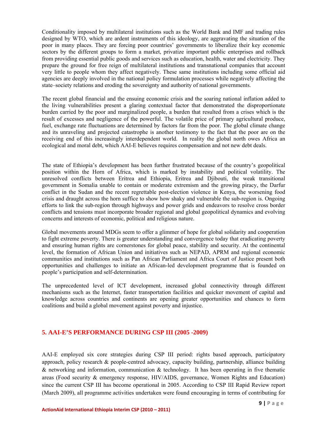<span id="page-8-0"></span>Conditionality imposed by multilateral institutions such as the World Bank and IMF and trading rules designed by WTO, which are ardent instruments of this ideology, are aggravating the situation of the poor in many places. They are forcing poor countries' governments to liberalize their key economic sectors by the different groups to form a market, privatize important public enterprises and rollback from providing essential public goods and services such as education, health, water and electricity. They prepare the ground for free reign of multilateral institutions and transnational companies that account very little to people whom they affect negatively. These same institutions including some official aid agencies are deeply involved in the national policy formulation processes while negatively affecting the state–society relations and eroding the sovereignty and authority of national governments.

The recent global financial and the ensuing economic crisis and the soaring national inflation added to the living vulnerabilities present a glaring contextual factor that demonstrated the disproportionate burden carried by the poor and marginalized people, a burden that resulted from a crises which is the result of excesses and negligence of the powerful. The volatile price of primary agricultural produce, fuel, exchange rate fluctuations are determined by factors far from the poor. The global climate change and its unraveling and projected catastrophe is another testimony to the fact that the poor are on the receiving end of this increasingly interdependent world. In reality the global north owes Africa an ecological and moral debt, which AAI-E believes requires compensation and not new debt deals.

The state of Ethiopia's development has been further frustrated because of the country's geopolitical position within the Horn of Africa, which is marked by instability and political volatility. The unresolved conflicts between Eritrea and Ethiopia, Eritrea and Djibouti, the weak transitional government in Somalia unable to contain or moderate extremism and the growing piracy, the Darfur conflict in the Sudan and the recent regrettable post-election violence in Kenya, the worsening food crisis and draught across the horn suffice to show how shaky and vulnerable the sub-region is. Ongoing efforts to link the sub-region through highways and power grids and endeavors to resolve cross border conflicts and tensions must incorporate broader regional and global geopolitical dynamics and evolving concerns and interests of economic, political and religious nature.

Global movements around MDGs seem to offer a glimmer of hope for global solidarity and cooperation to fight extreme poverty. There is greater understanding and convergence today that eradicating poverty and ensuring human rights are cornerstones for global peace, stability and security. At the continental level, the formation of African Union and initiatives such as NEPAD, APRM and regional economic communities and institutions such as Pan African Parliament and Africa Court of Justice present both opportunities and challenges to initiate an African-led development programme that is founded on people's participation and self-determination.

The unprecedented level of ICT development, increased global connectivity through different mechanisms such as the Internet, faster transportation facilities and quicker movement of capital and knowledge across countries and continents are opening greater opportunities and chances to form coalitions and build a global movement against poverty and injustice.

## **5. AAI-E'S PERFORMANCE DURING CSP III (2005 -2009)**

AAI-E employed six core strategies during CSP III period: rights based approach, participatory approach, policy research & people-centred advocacy, capacity building, partnership, alliance building & networking and information, communication & technology. It has been operating in five thematic areas (Food security & emergency response, HIV/AIDS, governance, Women Rights and Education) since the current CSP III has become operational in 2005. According to CSP III Rapid Review report (March 2009), all programme activities undertaken were found encouraging in terms of contributing for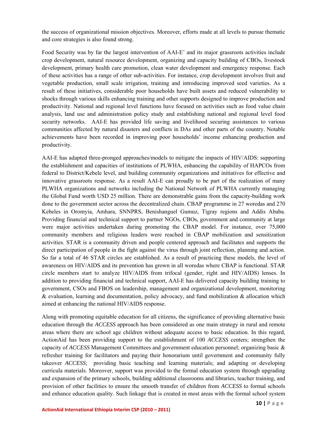the success of organizational mission objectives. Moreover, efforts made at all levels to pursue thematic and core strategies is also found strong.

Food Security was by far the largest intervention of AAI-E' and its major grassroots activities include crop development, natural resource development, organizing and capacity building of CBOs, livestock development, primary health care promotion, clean water development and emergency response. Each of these activities has a range of other sub-activities. For instance, crop development involves fruit and vegetable production, small scale irrigation, training and introducing improved seed varieties. As a result of these initiatives, considerable poor households have built assets and reduced vulnerability to shocks through various skills enhancing training and other supports designed to improve production and productivity. National and regional level functions have focused on activities such as food value chain analysis, land use and administration policy study and establishing national and regional level food security networks. AAI-E has provided life saving and livelihood securing assistances to various communities affected by natural disasters and conflicts in DAs and other parts of the country. Notable achievements have been recorded in improving poor households' income enhancing production and productivity.

AAI-E has adapted three-pronged approaches/models to mitigate the impacts of HIV/AIDS: supporting the establishment and capacities of institutions of PLWHA, enhancing the capability of HAPCOs from federal to District/Kebele level, and building community organizations and initiatives for effective and innovative grassroots response. As a result AAI-E can proudly to be part of the realization of many PLWHA organizations and networks including the National Network of PLWHA currently managing the Global Fund worth USD 25 million. There are demonstrable gains from the capacity-building work done to the government sector across the decentralized chain. CBAP programme in 27 woredas and 270 Kebeles in Oromyia, Amhara, SNNPRS, Benishanguel Gumuz, Tigray regions and Addis Ababa. Providing financial and technical support to partner NGOs, CBOs, government and community at large were major activities undertaken during promoting the CBAP model. For instance, over 75,000 community members and religious leaders were reached in CBAP mobilization and sensitization activities. STAR is a community driven and people centered approach and facilitates and supports the direct participation of people in the fight against the virus through joint reflection, planning and action. So far a total of 46 STAR circles are established. As a result of practicing these models, the level of awareness on HIV/AIDS and its prevention has grown in all woredas where CBAP is functional. STAR circle members start to analyze HIV/AIDS from trifocal (gender, right and HIV/AIDS) lenses. In addition to providing financial and technical support, AAI-E has delivered capacity building training to government, CSOs and FBOS on leadership, management and organizational development, monitoring  $\&$  evaluation, learning and documentation, policy advocacy, and fund mobilization  $\&$  allocation which aimed at enhancing the national HIV/AIDS response.

Along with promoting equitable education for all citizens, the significance of providing alternative basic education through the *ACCESS* approach has been considered as one main strategy in rural and remote areas where there are school age children without adequate access to basic education. In this regard, ActionAid has been providing support to the establishment of 100 *ACCESS* centers; strengthen the capacity of *ACCESS* Management Committees and government education personnel; organizing basic & refresher training for facilitators and paying their honorarium until government and community fully takeover *ACCESS*; providing basic teaching and learning materials; and adapting or developing curricula materials. Moreover, support was provided to the formal education system through upgrading and expansion of the primary schools, building additional classrooms and libraries, teacher training, and provision of other facilities to ensure the smooth transfer of children from *ACCESS* to formal schools and enhance education quality. Such linkage that is created in most areas with the formal school system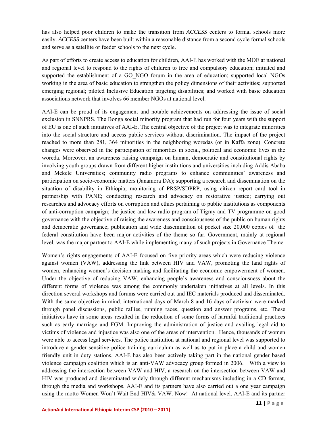has also helped poor children to make the transition from *ACCESS* centers to formal schools more easily. *ACCESS* centers have been built within a reasonable distance from a second cycle formal schools and serve as a satellite or feeder schools to the next cycle.

As part of efforts to create access to education for children, AAI-E has worked with the MOE at national and regional level to respond to the rights of children to free and compulsory education; initiated and supported the establishment of a GO\_NGO forum in the area of education; supported local NGOs working in the area of basic education to strengthen the policy dimensions of their activities; supported emerging regional; piloted Inclusive Education targeting disabilities; and worked with basic education associations network that involves 66 member NGOs at national level.

AAI-E can be proud of its engagement and notable achievements on addressing the issue of social exclusion in SNNPRS. The Bonga social minority program that had run for four years with the support of EU is one of such initiatives of AAI-E. The central objective of the project was to integrate minorities into the social structure and access public services without discrimination. The impact of the project reached to more than 281, 364 minorities in the neighboring woredas (or in Kaffa zone). Concrete changes were observed in the participation of minorities in social, political and economic lives in the woreda. Moreover, an awareness raising campaign on human, democratic and constitutional rights by involving youth groups drawn from different higher institutions and universities including Addis Ababa and Mekele Universities; community radio programs to enhance communities' awareness and participation on socio-economic matters (Janamora DA); supporting a research and dissemination on the situation of disability in Ethiopia; monitoring of PRSP/SDPRP, using citizen report card tool in partnership with PANE; conducting research and advocacy on restorative justice; carrying out researches and advocacy efforts on corruption and ethics pertaining to public institutions as components of anti-corruption campaign; the justice and law radio program of Tigray and TV programme on good governance with the objective of raising the awareness and consciousness of the public on human rights and democratic governance; publication and wide dissemination of pocket size 20,000 copies of the federal constitution have been major activities of the theme so far. Government, mainly at regional level, was the major partner to AAI-E while implementing many of such projects in Governance Theme.

Women's rights engagements of AAI-E focused on five priority areas which were reducing violence against women (VAW), addressing the link between HIV and VAW, promoting the land rights of women, enhancing women's decision making and facilitating the economic empowerment of women. Under the objective of reducing VAW, enhancing people's awareness and consciousness about the different forms of violence was among the commonly undertaken initiatives at all levels. In this direction several workshops and forums were carried out and IEC materials produced and disseminated. With the same objective in mind, international days of March 8 and 16 days of activism were marked through panel discussions, public rallies, running races, question and answer programs, etc. These initiatives have in some areas resulted in the reduction of some forms of harmful traditional practices such as early marriage and FGM. Improving the administration of justice and availing legal aid to victims of violence and injustice was also one of the areas of intervention. Hence, thousands of women were able to access legal services. The police institution at national and regional level was supported to introduce a gender sensitive police training curriculum as well as to put in place a child and women friendly unit in duty stations. AAI-E has also been actively taking part in the national gender based violence campaign coalition which is an anti-VAW advocacy group formed in 2006. With a view to addressing the intersection between VAW and HIV, a research on the intersection between VAW and HIV was produced and disseminated widely through different mechanisms including in a CD format, through the media and workshops. AAI-E and its partners have also carried out a one year campaign using the motto Women Won't Wait End HIV& VAW. Now! At national level, AAI-E and its partner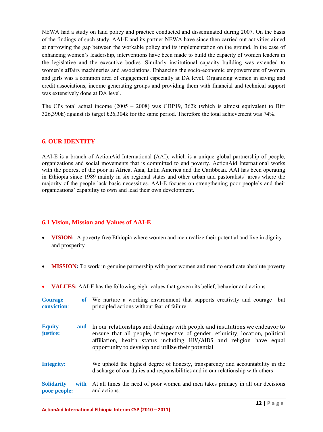<span id="page-11-0"></span>NEWA had a study on land policy and practice conducted and disseminated during 2007. On the basis of the findings of such study, AAI-E and its partner NEWA have since then carried out activities aimed at narrowing the gap between the workable policy and its implementation on the ground. In the case of enhancing women's leadership, interventions have been made to build the capacity of women leaders in the legislative and the executive bodies. Similarly institutional capacity building was extended to women's affairs machineries and associations. Enhancing the socio-economic empowerment of women and girls was a common area of engagement especially at DA level. Organizing women in saving and credit associations, income generating groups and providing them with financial and technical support was extensively done at DA level.

The CPs total actual income (2005 – 2008) was GBP19, 362k (which is almost equivalent to Birr 326,390k) against its target ₤26,304k for the same period. Therefore the total achievement was 74%.

## **6. OUR IDENTITY**

AAI-E is a branch of ActionAid International (AAI), which is a unique global partnership of people, organizations and social movements that is committed to end poverty. ActionAid International works with the poorest of the poor in Africa, Asia, Latin America and the Caribbean. AAI has been operating in Ethiopia since 1989 mainly in six regional states and other urban and pastoralists' areas where the majority of the people lack basic necessities. AAI-E focuses on strengthening poor people's and their organizations' capability to own and lead their own development.

## **6.1 Vision, Mission and Values of AAI-E**

- **VISION:** A poverty free Ethiopia where women and men realize their potential and live in dignity and prosperity
- **MISSION:** To work in genuine partnership with poor women and men to eradicate absolute poverty
- **VALUES:** AAI-E has the following eight values that govern its belief, behavior and actions

| <b>Courage</b><br>conviction:     |      | of We nurture a working environment that supports creativity and courage<br>but<br>principled actions without fear of failure                                                                                                                                                                  |
|-----------------------------------|------|------------------------------------------------------------------------------------------------------------------------------------------------------------------------------------------------------------------------------------------------------------------------------------------------|
| <b>Equity</b><br>justice:         | and  | In our relationships and dealings with people and institutions we endeavor to<br>ensure that all people, irrespective of gender, ethnicity, location, political<br>affiliation, health status including HIV/AIDS and religion have equal<br>opportunity to develop and utilize their potential |
| <b>Integrity:</b>                 |      | We uphold the highest degree of honesty, transparency and accountability in the<br>discharge of our duties and responsibilities and in our relationship with others                                                                                                                            |
| <b>Solidarity</b><br>poor people: | with | At all times the need of poor women and men takes primacy in all our decisions<br>and actions.                                                                                                                                                                                                 |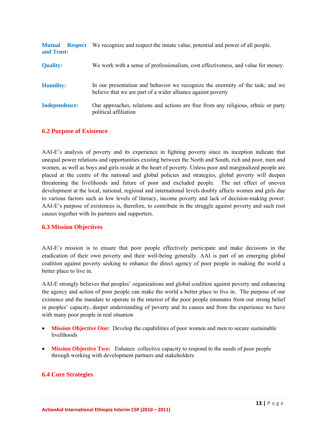<span id="page-12-0"></span>

| <b>Mutual</b><br>and Trust: | <b>Respect</b> | We recognize and respect the innate value, potential and power of all people.                                                                  |
|-----------------------------|----------------|------------------------------------------------------------------------------------------------------------------------------------------------|
| <b>Quality:</b>             |                | We work with a sense of professionalism, cost effectiveness, and value for money.                                                              |
| <b>Humility:</b>            |                | In our presentation and behavior we recognize the enormity of the task; and we<br>believe that we are part of a wider alliance against poverty |
| <b>Independence:</b>        |                | Our approaches, relations and actions are free from any religious, ethnic or party<br>political affiliation                                    |

## **6.2 Purpose of Existence**

AAI-E's analysis of poverty and its experience in fighting poverty since its inception indicate that unequal power relations and opportunities existing between the North and South, rich and poor, men and women, as well as boys and girls reside at the heart of poverty. Unless poor and marginalized people are placed at the centre of the national and global policies and strategies, global poverty will deepen threatening the livelihoods and future of poor and excluded people. The net effect of uneven development at the local, national, regional and international levels doubly affects women and girls due to various factors such as low levels of literacy, income poverty and lack of decision-making power. AAI-E's purpose of existences is, therefore, to contribute in the struggle against poverty and such root causes together with its partners and supporters.

## **6.3 Mission Objectives**

AAI-E's mission is to ensure that poor people effectively participate and make decisions in the eradication of their own poverty and their well-being generally. AAI is part of an emerging global coalition against poverty seeking to enhance the direct agency of poor people in making the world a better place to live in.

AAI-E strongly believes that peoples' organizations and global coalition against poverty and enhancing the agency and action of poor people can make the world a better place to live in. The purpose of our existence and the mandate to operate in the interest of the poor people emanates from our strong belief in peoples' capacity, deeper understanding of poverty and its causes and from the experience we have with many poor people in real situation

- **Mission Objective One:** Develop the capabilities of poor women and men to secure sustainable livelihoods
- **Mission Objective Two:** Enhance collective capacity to respond to the needs of poor people through working with development partners and stakeholders

## **6.4 Core Strategies**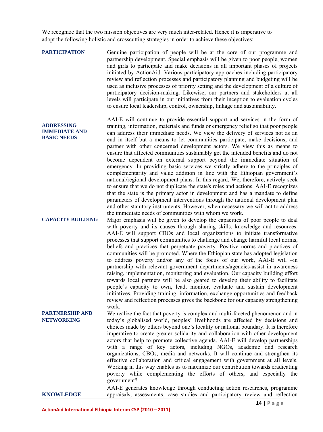We recognize that the two mission objectives are very much inter-related. Hence it is imperative to adopt the following holistic and crosscutting strategies in order to achieve these objectives:

**PARTICIPATION** Genuine participation of people will be at the core of our programme and partnership development. Special emphasis will be given to poor people, women and girls to participate and make decisions in all important phases of projects initiated by ActionAid. Various participatory approaches including participatory review and reflection processes and participatory planning and budgeting will be used as inclusive processes of priority setting and the development of a culture of participatory decision-making. Likewise, our partners and stakeholders at all levels will participate in our initiatives from their inception to evaluation cycles to ensure local leadership, control, ownership, linkage and sustainability.

> AAI-E will continue to provide essential support and services in the form of training, information, materials and funds or emergency relief so that poor people can address their immediate needs. We view the delivery of services not as an end in itself but a means to let communities participate, make decisions, and partner with other concerned development actors. We view this as means to ensure that affected communities sustainably get the intended benefits and do not become dependent on external support beyond the immediate situation of emergency .In providing basic services we strictly adhere to the principles of complementarity and value addition in line with the Ethiopian government's national/regional development plans. In this regard, We, therefore, actively seek to ensure that we do not duplicate the state's roles and actions. AAI-E recognizes that the state is the primary actor in development and has a mandate to define parameters of development interventions through the national development plan and other statutory instruments. However, when necessary we will act to address the immediate needs of communities with whom we work.

**CAPACITY BUILDING** Major emphasis will be given to develop the capacities of poor people to deal with poverty and its causes through sharing skills, knowledge and resources. AAI-E will support CBOs and local organizations to initiate transformative processes that support communities to challenge and change harmful local norms, beliefs and practices that perpetuate poverty. Positive norms and practices of communities will be promoted. Where the Ethiopian state has adopted legislation to address poverty and/or any of the focus of our work, AAI-E will –in partnership with relevant government departments/agencies-assist in awareness raising, implementation, monitoring and evaluation. Our capacity building effort towards local partners will be also geared to develop their ability to facilitate people's capacity to own, lead, monitor, evaluate and sustain development initiatives. Providing training, information, exchange opportunities and feedback review and reflection processes gives the backbone for our capacity strengthening work.

**PARTNERSHIP AND NETWORKING**  We realize the fact that poverty is complex and multi-faceted phenomenon and in today's globalised world, peoples' livelihoods are affected by decisions and choices made by others beyond one's locality or national boundary. It is therefore imperative to create greater solidarity and collaboration with other development actors that help to promote collective agenda. AAI-E will develop partnerships with a range of key actors, including NGOs, academic and research organizations, CBOs, media and networks. It will continue and strengthen its effective collaboration and critical engagement with government at all levels. Working in this way enables us to maximize our contribution towards eradicating poverty while complementing the efforts of others, and especially the government?

**KNOWLEDGE**  AAI-E generates knowledge through conducting action researches, programme appraisals, assessments, case studies and participatory review and reflection

**ADDRESSING IMMEDIATE AND BASIC NEEDS**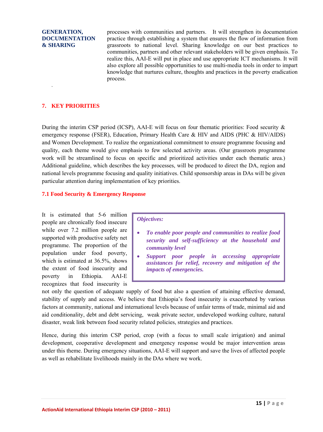#### <span id="page-14-0"></span>**GENERATION, DOCUMENTATION & SHARING**

processes with communities and partners. It will strengthen its documentation practice through establishing a system that ensures the flow of information from grassroots to national level. Sharing knowledge on our best practices to communities, partners and other relevant stakeholders will be given emphasis. To realize this, AAI-E will put in place and use appropriate ICT mechanisms. It will also explore all possible opportunities to use multi-media tools in order to impart knowledge that nurtures culture, thoughts and practices in the poverty eradication process.

## **7. KEY PRIORITIES**

.

During the interim CSP period (ICSP), AAI-E will focus on four thematic priorities: Food security  $\&$ emergency response (FSER), Education, Primary Health Care & HIV and AIDS (PHC & HIV/AIDS) and Women Development. To realize the organizational commitment to ensure programme focusing and quality, each theme would give emphasis to few selected activity areas. (Our grassroots programme work will be streamlined to focus on specific and prioritized activities under each thematic area.) Additional guideline, which describes the key processes, will be produced to direct the DA, region and national levels programme focusing and quality initiatives. Child sponsorship areas in DAs will be given particular attention during implementation of key priorities.

#### **7.1 Food Security & Emergency Response**

It is estimated that 5-6 million people are chronically food insecure while over 7.2 million people are supported with productive safety net programme. The proportion of the population under food poverty, which is estimated at 36.5%, shows the extent of food insecurity and poverty in Ethiopia. AAI-E recognizes that food insecurity is

#### *Objectives:*

- *To enable poor people and communities to realize food security and self-sufficiency at the household and community level*
- *Support poor people in accessing appropriate assistances for relief, recovery and mitigation of the impacts of emergencies.*

not only the question of adequate supply of food but also a question of attaining effective demand, stability of supply and access. We believe that Ethiopia's food insecurity is exacerbated by various factors at community, national and international levels because of unfair terms of trade, minimal aid and aid conditionality, debt and debt servicing, weak private sector, undeveloped working culture, natural disaster, weak link between food security related policies, strategies and practices.

Hence, during this interim CSP period, crop (with a focus to small scale irrigation) and animal development, cooperative development and emergency response would be major intervention areas under this theme. During emergency situations, AAI-E will support and save the lives of affected people as well as rehabilitate livelihoods mainly in the DAs where we work.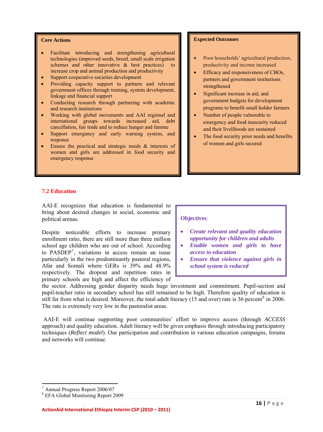- <span id="page-15-0"></span>• Facilitate introducing and strengthening agricultural technologies (improved seeds, breed, small scale irrigation schemes and other innovative & best practices) to increase crop and animal production and productivity
- Support cooperative societies development
- Providing capacity support to partners and relevant government offices through training, system development, linkage and financial support
- Conducting research through partnering with academic and research institutions
- Working with global movements and AAI regional and international groups towards increased aid, debt cancellation, fair trade and to reduce hunger and famine
- Support emergency and early warning system, and response
- Ensure the practical and strategic needs & interests of women and girls are addressed in food security and emergency response

#### **Expected Outcomes**

- Poor households' agricultural production, productivity and income increased
- Efficacy and responsiveness of CBOs, partners and government institutions strengthened
- Significant increase in aid, and government budgets for development programs to benefit small holder farmers
- Number of people vulnerable to emergency and food insecurity reduced and their livelihoods are sustained
- The food security prior needs and benefits of women and girls secured

#### **7.2 Education**

AAI-E recognizes that education is fundamental to bring about desired changes in social, economic and political arenas.

Despite noticeable efforts to increase primary enrollment ratio, there are still more than three million school age children who are out of school. According to PASDEP[7](#page-15-1) , variations in access remain an issue particularly in the two predominantly pastoral regions, Afar and Somali where GERs is 39% and 48.9% respectively. The dropout and repetition rates in primary schools are high and affect the efficiency of

#### **Objectives**:

- *Create relevant and quality education opportunity for children and adults*
- *Enable women and girls to have access to education*
- *Ensure that violence against girls in school system is reduced*

the sector. Addressing gender disparity needs huge investment and commitment. Pupil-section and pupil-teacher ratio in secondary school has still remained to be high. Therefore quality of education is still far from what is desired. Moreover, the total adult literacy (15 and over) rate is 36 percent<sup>[8](#page-15-2)</sup> in 2006. The rate is extremely very low in the pastoralist areas.

 AAI-E will continue supporting poor communities' effort to improve access (through *ACCESS* approach) and quality education. Adult literacy will be given emphasis through introducing participatory techniques (*Reflect model*). Our participation and contribution in various education campaigns, forums and networks will continue.

 7 Annual Progress Report 2006/07

<span id="page-15-2"></span><span id="page-15-1"></span><sup>8</sup> EFA Global Monitoring Report 2009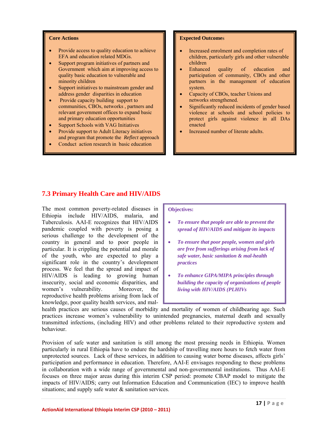- <span id="page-16-0"></span>Provide access to quality education to achieve EFA and education related MDGs.
- Support program initiatives of partners and Government which aim at improving access to quality basic education to vulnerable and minority children
- Support initiatives to mainstream gender and address gender disparities in education
- Provide capacity building support to communities, CBOs, networks , partners and relevant government offices to expand basic and primary education opportunities
- Support Schools with VAG Initiatives
- Provide support to Adult Literacy initiatives and program that promote the *Reflect* approach
- Conduct action research in basic education

#### **Expected Outcome**s

- Increased enrolment and completion rates of children, particularly girls and other vulnerable children
- Enhanced quality of education and participation of community, CBOs and other partners in the management of education system.
- Capacity of CBOs, teacher Unions and networks strengthened.
- Significantly reduced incidents of gender based violence at schools and school policies to protect girls against violence in all DAs enacted
- Increased number of literate adults.

## **7.3 Primary Health Care and HIV/AIDS**

The most common poverty-related diseases in Ethiopia include HIV/AIDS, malaria, and Tuberculosis. AAI-E recognizes that HIV/AIDS pandemic coupled with poverty is posing a serious challenge to the development of the country in general and to poor people in particular. It is crippling the potential and morale of the youth, who are expected to play a significant role in the country's development process. We feel that the spread and impact of HIV/AIDS is leading to growing human insecurity, social and economic disparities, and women's vulnerability. Moreover, the reproductive health problems arising from lack of knowledge, poor quality health services, and mal-

#### **Objectives:**

- *To ensure that people are able to prevent the spread of HIV/AIDS and mitigate its impacts*
- *To ensure that poor people, women and girls are free from sufferings arising from lack of safe water, basic sanitation & mal-health practices*
- *To enhance GIPA/MIPA principles through building the capacity of organizations of people living with HIV/AIDS (PLHIVs*

health practices are serious causes of morbidity and mortality of women of childbearing age. Such practices increase women's vulnerability to unintended pregnancies, maternal death and sexually transmitted infections, (including HIV) and other problems related to their reproductive system and behaviour.

Provision of safe water and sanitation is still among the most pressing needs in Ethiopia. Women particularly in rural Ethiopia have to endure the hardship of travelling more hours to fetch water from unprotected sources. Lack of these services, in addition to causing water borne diseases, affects girls' participation and performance in education. Therefore, AAI-E envisages responding to these problems in collaboration with a wide range of governmental and non-governmental institutions. Thus AAI-E focuses on three major areas during this interim CSP period: promote CBAP model to mitigate the impacts of HIV/AIDS; carry out Information Education and Communication (IEC) to improve health situations; and supply safe water & sanitation services.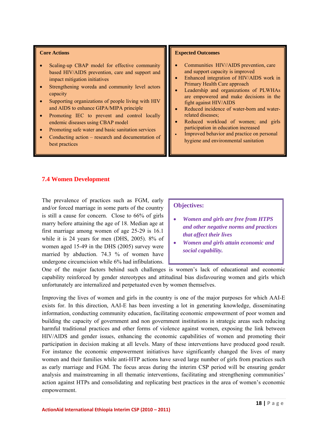- <span id="page-17-0"></span>• Scaling-up CBAP model for effective community based HIV/AIDS prevention, care and support and impact mitigation initiatives
- Strengthening woreda and community level actors capacity
- Supporting organizations of people living with HIV and AIDS to enhance GIPA/MIPA principle
- Promoting IEC to prevent and control locally endemic diseases using CBAP model
- Promoting safe water and basic sanitation services
- Conducting action research and documentation of best practices

#### **Expected Outcomes**

- Communities HIV//AIDS prevention, care and support capacity is improved
- Enhanced integration of HIV/AIDS work in Primary Health Care approach
- Leadership and organizations of PLWHAs are empowered and make decisions in the fight against HIV/AIDS
- Reduced incidence of water-born and waterrelated diseases;
- Reduced workload of women; and girls participation in education increased
- Improved behavior and practice on personal hygiene and environmental sanitation

## **7.4 Women Development**

The prevalence of practices such as FGM, early and/or forced marriage in some parts of the country is still a cause for concern. Close to 66% of girls marry before attaining the age of 18. Median age at first marriage among women of age 25-29 is 16.1 while it is 24 years for men (DHS, 2005). 8% of women aged 15-49 in the DHS (2005) survey were married by abduction. 74.3 % of women have undergone circumcision while 6% had infibulations.

#### **Objectives:**

- *rms and practices and other negative no Women and girls are free from HTPS that affect their lives*
- Women and girls attain economic and *social capability.*

capability reinforced by gender stereotypes and attitudinal bias disfavouring women and girls which unfortunately are internalized and perpetuated even by women themselves. One of the major factors behind such challenges is women's lack of educational and economic

action against HTPs and consolidating and replicating best practices in the area of women's economic empowerment. Improving the lives of women and girls in the country is one of the major purposes for which AAI-E exists for. In this direction, AAI-E has been investing a lot in generating knowledge, disseminating information, conducting community education, facilitating economic empowerment of poor women and building the capacity of government and non government institutions in strategic areas such reducing harmful traditional practices and other forms of violence against women, exposing the link between HIV/AIDS and gender issues, enhancing the economic capabilities of women and promoting their participation in decision making at all levels. Many of these interventions have produced good result. For instance the economic empowerment initiatives have significantly changed the lives of many women and their families while anti-HTP actions have saved large number of girls from practices such as early marriage and FGM. The focus areas during the interim CSP period will be ensuring gender analysis and mainstreaming in all thematic interventions, facilitating and strengthening communities'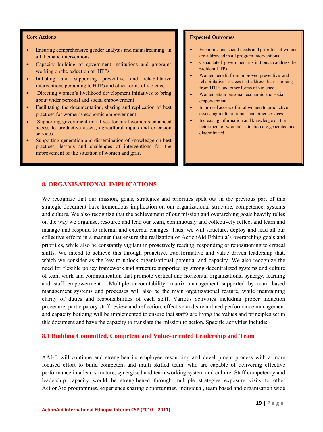- <span id="page-18-0"></span>• Ensuring comprehensive gender analysis and mainstreaming in all thematic interventions
- Capacity building of government institutions and programs working on the reduction of HTPs
- Initiating and supporting preventive and rehabilitative interventions pertaining to HTPs and other forms of violence
- Directing women's livelihood development initiatives to bring about wider personal and social empowerment
- Facilitating the documentation, sharing and replication of best practices for women's economic empowerment
- Supporting government initiatives for rural women's enhanced access to productive assets, agricultural inputs and extension services.
- Supporting generation and dissemination of knowledge on best practices, lessons and challenges of interventions for the improvement of the situation of women and girls.

#### **Expected Outcomes**

- Economic and social needs and priorities of women are addressed in all program interventions
- Capacitated government institutions to address the problem HTPs
- Women benefit from improved preventive and rehabilitative services that address harms arising from HTPs and other forms of violence
- Women attain personal, economic and social empowerment
- Improved access of rural women to productive assets, agricultural inputs and other services
- Increasing information and knowledge on the betterment of women's situation are generated and disseminated

#### **8. ORGANISATIONAL IMPLICATIONS**

We recognize that our mission, goals, strategies and priorities spelt out in the previous part of this strategic document have tremendous implication on our organizational structure, competence, systems and culture. We also recognize that the achievement of our mission and overarching goals heavily relies on the way we organise, resource and lead our team, continuously and collectively reflect and learn and manage and respond to internal and external changes. Thus, we will structure, deploy and lead all our collective efforts in a manner that ensure the realization of ActionAid Ethiopia's overarching goals and priorities, while also be constantly vigilant in proactively reading, responding or repositioning to critical shifts. We intend to achieve this through proactive, transformative and value driven leadership that, which we consider as the key to unlock organisational potential and capacity. We also recognize the need for flexible policy framework and structure supported by strong decentralized systems and culture of team work and communication that promote vertical and horizontal organizational synergy, learning and staff empowerment. Multiple accountability, matrix management supported by team based management systems and processes will also be the main organizational feature, while maintaining clarity of duties and responsibilities of each staff. Various activities including proper induction procedure, participatory staff review and reflection, effective and streamlined performance management and capacity building will be implemented to ensure that staffs are living the values and principles set in this document and have the capacity to translate the mission to action. Specific activities include:

#### **8.1 Building Committed, Competent and Value-oriented Leadership and Team**

AAI-E will continue and strengthen its employee resourcing and development process with a more focused effort to build competent and multi skilled team, who are capable of delivering effective performance in a lean structure, synergised and team working system and culture. Staff competency and leadership capacity would be strengthened through multiple strategies exposure visits to other ActionAid programmes, experience sharing opportunities, individual, team based and organisation wide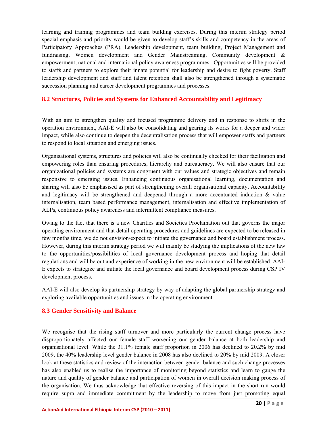<span id="page-19-0"></span>learning and training programmes and team building exercises. During this interim strategy period special emphasis and priority would be given to develop staff's skills and competency in the areas of Participatory Approaches (PRA), Leadership development, team building, Project Management and fundraising, Women development and Gender Mainstreaming, Community development & empowerment, national and international policy awareness programmes. Opportunities will be provided to staffs and partners to explore their innate potential for leadership and desire to fight poverty. Staff leadership development and staff and talent retention shall also be strengthened through a systematic succession planning and career development programmes and processes.

## **.2 Structures, Policies and Systems for Enhanced Accountability and Legitimacy 8**

impact, while also continue to deepen the decentralisation process that will empower staffs and partners to respond to local situation and emerging issues. With an aim to strengthen quality and focused programme delivery and in response to shifts in the operation environment, AAI-E will also be consolidating and gearing its works for a deeper and wider

internalisation, team based performance management, internalisation and effective implementation of ALPs, continuous policy awareness and intermittent compliance measures. Organisational systems, structures and policies will also be continually checked for their facilitation and empowering roles than ensuring procedures, hierarchy and bureaucracy. We will also ensure that our organizational policies and systems are congruent with our values and strategic objectives and remain responsive to emerging issues. Enhancing continuous organisational learning, documentation and sharing will also be emphasised as part of strengthening overall organisational capacity. Accountability and legitimacy will be strengthened and deepened through a more accentuated induction  $\&$  value

E expects to strategize and initiate the local governance and board development process during CSP IV Owing to the fact that there is a new Charities and Societies Proclamation out that governs the major operating environment and that detail operating procedures and guidelines are expected to be released in few months time, we do not envision/expect to initiate the governance and board establishment process. However, during this interim strategy period we will mainly be studying the implications of the new law to the opportunities/possibilities of local governance development process and hoping that detail regulations and will be out and experience of working in the new environment will be established, AAIdevelopment process.

AAI-E will also develop its partnership strategy by way of adapting the global partnership strategy and exploring available opportunities and issues in the operating environment.

## **.3 Gender Sensitivity and Balance 8**

We recognise that the rising staff turnover and more particularly the current change process have disproportionately affected our female staff worsening our gender balance at both leadership and organisational level. While the 31.1% female staff proportion in 2006 has declined to 20.2% by mid 2009, the 40% leadership level gender balance in 2008 has also declined to 20% by mid 2009. A closer look at these statistics and review of the interaction between gender balance and such change processes has also enabled us to realise the importance of monitoring beyond statistics and learn to gauge the nature and quality of gender balance and participation of women in overall decision making process of the organisation. We thus acknowledge that effective reversing of this impact in the short run would require supra and immediate commitment by the leadership to move from just promoting equal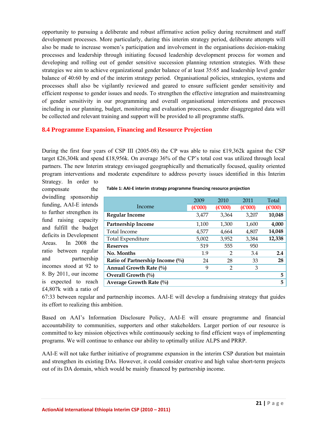<span id="page-20-0"></span>opportunity to pursuing a deliberate and robust affirmative action policy during recruitment and staff development processes. More particularly, during this interim strategy period, deliberate attempts will also be made to increase women's participation and involvement in the organisations decision-making processes and leadership through initiating focused leadership development process for women and developing and rolling out of gender sensitive succession planning retention strategies. With these strategies we aim to achieve organizational gender balance of at least 35:65 and leadership level gender balance of 40:60 by end of the interim strategy period. Organisational policies, strategies, systems and processes shall also be vigilantly reviewed and geared to ensure sufficient gender sensitivity and efficient response to gender issues and needs. To strengthen the effective integration and mainstreaming of gender sensitivity in our programming and overall organisational interventions and processes including in our planning, budget, monitoring and evaluation processes, gender disaggregated data will be collected and relevant training and support will be provided to all programme staffs.

## **.4 Programme Expansion, Financing and Resource Projection 8**

program interventions and moderate expenditure to address poverty issues identified in this Interim During the first four years of CSP III (2005-08) the CP was able to raise ₤19,362k against the CSP target ₤26,304k and spend ₤18,956k. On average 36% of the CP's total cost was utilized through local partners. The new Interim strategy envisaged geographically and thematically focused, quality oriented Strategy. In order to

compensate the dwindling sponsorship funding, AAI-E intends to further strengthen its fund raising capacity and fulfill the budget deficits in Development Areas. In 2008 the ratio between regular and partnership incomes stood at 92 to 8. By 2011, our income is expected to reach £4,807k with a ratio of

|                                    | 2009    | 2010    | 2011    | Total   |
|------------------------------------|---------|---------|---------|---------|
| Income                             | (E'000) | (E'000) | (E'000) | (E'000) |
| <b>Regular Income</b>              | 3,477   | 3,364   | 3,207   | 10,048  |
| Partnership Income                 | 1,100   | 1,300   | 1,600   | 4,000   |
| Total Income                       | 4,577   | 4,664   | 4,807   | 14,048  |
| Total Expenditure                  | 5,002   | 3,952   | 3,384   | 12,338  |
| <b>Reserves</b>                    | 519     | 555     | 950     |         |
| No. Months                         | 1.9     | 2       | 3.4     | 2.4     |
| Ratio of Partnership Income $(\%)$ | 24      | 28      | 33      | 28      |
| Annual Growth Rate $(\%$           | 9       | 2       | 3       |         |
| Overall Growth $(\%)$              |         |         |         | 5       |
| Average Growth Rate $(%$           |         |         |         | 5       |

67:33 between regular and partnership incomes. AAI-E will develop a fundraising strategy that guides its effort to realizing this ambition.

committed to key mission objectives while continuously seeking to find efficient ways of implementing Based on AAI's Information Disclosure Policy, AAI-E will ensure programme and financial accountability to communities, supporters and other stakeholders. Larger portion of our resource is programs. We will continue to enhance our ability to optimally utilize ALPS and PRRP.

and strengthen its existing DAs. However, it could consider creative and high value short-term projects out of its DA domain, which would be mainly financed by partnership income. AAI-E will not take further initiative of programme expansion in the interim CSP duration but maintain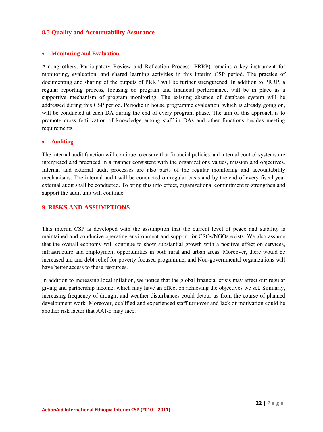## <span id="page-21-0"></span>**8.5 Quality and Accountability Assurance**

#### • **Monitoring and Evaluation**

Among others, Participatory Review and Reflection Process (PRRP) remains a key instrument for monitoring, evaluation, and shared learning activities in this interim CSP period. The practice of documenting and sharing of the outputs of PRRP will be further strengthened. In addition to PRRP, a regular reporting process, focusing on program and financial performance, will be in place as a supportive mechanism of program monitoring. The existing absence of database system will be addressed during this CSP period. Periodic in house programme evaluation, which is already going on, will be conducted at each DA during the end of every program phase. The aim of this approach is to promote cross fertilization of knowledge among staff in DAs and other functions besides meeting requirements.

#### • **Auditing**

The internal audit function will continue to ensure that financial policies and internal control systems are interpreted and practiced in a manner consistent with the organizations values, mission and objectives. Internal and external audit processes are also parts of the regular monitoring and accountability mechanisms. The internal audit will be conducted on regular basis and by the end of every fiscal year external audit shall be conducted. To bring this into effect, organizational commitment to strengthen and support the audit unit will continue.

## **9. RISKS AND ASSUMPTIONS**

This interim CSP is developed with the assumption that the current level of peace and stability is maintained and conducive operating environment and support for CSOs/NGOs exists. We also assume that the overall economy will continue to show substantial growth with a positive effect on services, infrastructure and employment opportunities in both rural and urban areas. Moreover, there would be increased aid and debt relief for poverty focused programme; and Non-governmental organizations will have better access to these resources.

In addition to increasing local inflation, we notice that the global financial crisis may affect our regular giving and partnership income, which may have an effect on achieving the objectives we set. Similarly, increasing frequency of drought and weather disturbances could detour us from the course of planned development work. Moreover, qualified and experienced staff turnover and lack of motivation could be another risk factor that AAI-E may face.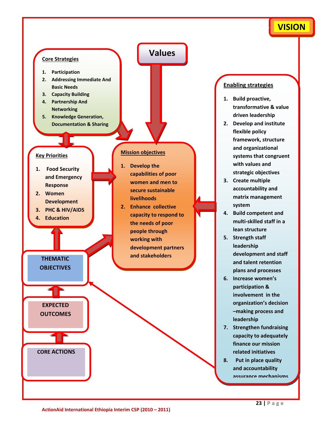## **VISION**

<span id="page-22-0"></span>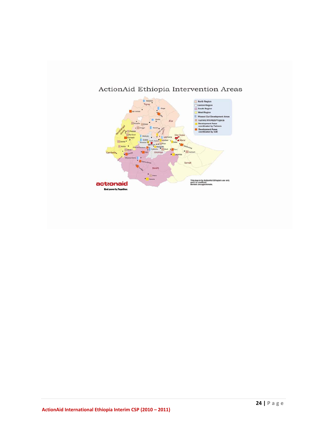

## ActionAid Ethiopia Intervention Areas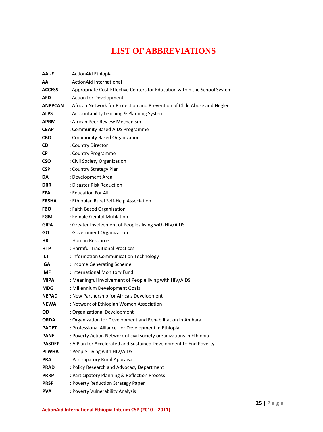# **LIST OF ABBREVIATIONS**

<span id="page-24-0"></span>

| AAI-E          | : ActionAid Ethiopia                                                        |
|----------------|-----------------------------------------------------------------------------|
| AAI            | : ActionAid International                                                   |
| <b>ACCESS</b>  | : Appropriate Cost-Effective Centers for Education within the School System |
| <b>AFD</b>     | : Action for Development                                                    |
| <b>ANPPCAN</b> | : African Network for Protection and Prevention of Child Abuse and Neglect  |
| <b>ALPS</b>    | : Accountability Learning & Planning System                                 |
| <b>APRM</b>    | : African Peer Review Mechanism                                             |
| <b>CBAP</b>    | : Community Based AIDS Programme                                            |
| <b>CBO</b>     | : Community Based Organization                                              |
| <b>CD</b>      | : Country Director                                                          |
| <b>CP</b>      | : Country Programme                                                         |
| <b>CSO</b>     | : Civil Society Organization                                                |
| <b>CSP</b>     | : Country Strategy Plan                                                     |
| DA             | : Development Area                                                          |
| <b>DRR</b>     | : Disaster Risk Reduction                                                   |
| <b>EFA</b>     | : Education For All                                                         |
| <b>ERSHA</b>   | : Ethiopian Rural Self-Help Association                                     |
| <b>FBO</b>     | : Faith Based Organization                                                  |
| <b>FGM</b>     | : Female Genital Mutilation                                                 |
| <b>GIPA</b>    | : Greater Involvement of Peoples living with HIV/AIDS                       |
| GO.            | : Government Organization                                                   |
| HR.            | : Human Resource                                                            |
| <b>HTP</b>     | : Harmful Traditional Practices                                             |
| ICT            | : Information Communication Technology                                      |
| IGA            | : Income Generating Scheme                                                  |
| IMF            | : International Monitory Fund                                               |
| <b>MIPA</b>    | : Meaningful Involvement of People living with HIV/AIDS                     |
| <b>MDG</b>     | : Millennium Development Goals                                              |
| <b>NEPAD</b>   | : New Partnership for Africa's Development                                  |
| <b>NEWA</b>    | : Network of Ethiopian Women Association                                    |
| OD             | : Organizational Development                                                |
| <b>ORDA</b>    | : Organization for Development and Rehabilitation in Amhara                 |
| <b>PADET</b>   | : Professional Alliance for Development in Ethiopia                         |
| <b>PANE</b>    | : Poverty Action Network of civil society organizations in Ethiopia         |
| <b>PASDEP</b>  | : A Plan for Accelerated and Sustained Development to End Poverty           |
| <b>PLWHA</b>   | : People Living with HIV/AIDS                                               |
| PRA            | : Participatory Rural Appraisal                                             |
| <b>PRAD</b>    | : Policy Research and Advocacy Department                                   |
| <b>PRRP</b>    | : Participatory Planning & Reflection Process                               |
| <b>PRSP</b>    | : Poverty Reduction Strategy Paper                                          |
| <b>PVA</b>     | : Poverty Vulnerability Analysis                                            |